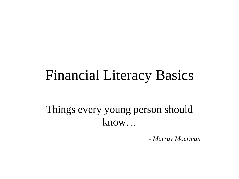## Financial Literacy Basics

Things every young person should know…

*- Murray Moerman*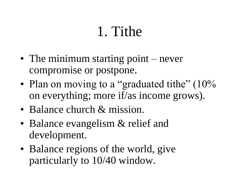## 1. Tithe

- The minimum starting point never compromise or postpone.
- Plan on moving to a "graduated tithe" (10% on everything; more if/as income grows).
- Balance church & mission.
- Balance evangelism & relief and development.
- Balance regions of the world, give particularly to 10/40 window.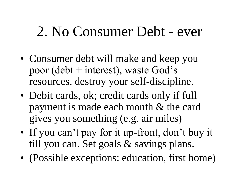## 2. No Consumer Debt - ever

- Consumer debt will make and keep you poor (debt + interest), waste God's resources, destroy your self-discipline.
- Debit cards, ok; credit cards only if full payment is made each month & the card gives you something (e.g. air miles)
- If you can't pay for it up-front, don't buy it till you can. Set goals & savings plans.
- (Possible exceptions: education, first home)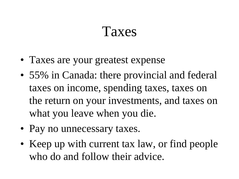#### Taxes

- Taxes are your greatest expense
- 55% in Canada: there provincial and federal taxes on income, spending taxes, taxes on the return on your investments, and taxes on what you leave when you die.
- Pay no unnecessary taxes.
- Keep up with current tax law, or find people who do and follow their advice.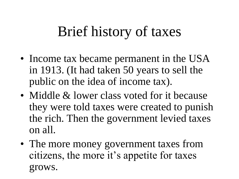# Brief history of taxes

- Income tax became permanent in the USA in 1913. (It had taken 50 years to sell the public on the idea of income tax).
- Middle & lower class voted for it because they were told taxes were created to punish the rich. Then the government levied taxes on all.
- The more money government taxes from citizens, the more it's appetite for taxes grows.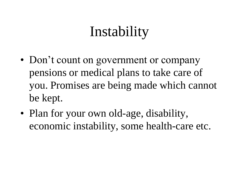# Instability

- Don't count on government or company pensions or medical plans to take care of you. Promises are being made which cannot be kept.
- Plan for your own old-age, disability, economic instability, some health-care etc.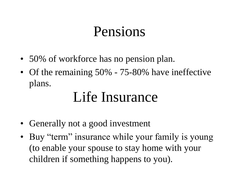### Pensions

- 50% of workforce has no pension plan.
- Of the remaining 50% 75-80% have ineffective plans.

## Life Insurance

- Generally not a good investment
- Buy "term" insurance while your family is young (to enable your spouse to stay home with your children if something happens to you).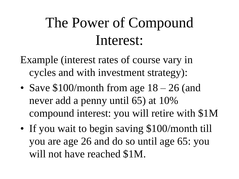# The Power of Compound Interest:

- Example (interest rates of course vary in cycles and with investment strategy):
- Save \$100/month from age  $18 26$  (and never add a penny until 65) at 10% compound interest: you will retire with \$1M
- If you wait to begin saving \$100/month till you are age 26 and do so until age 65: you will not have reached \$1M.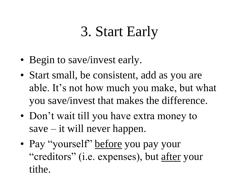# 3. Start Early

- Begin to save/invest early.
- Start small, be consistent, add as you are able. It's not how much you make, but what you save/invest that makes the difference.
- Don't wait till you have extra money to save – it will never happen.
- Pay "yourself" before you pay your "creditors" (i.e. expenses), but after your tithe.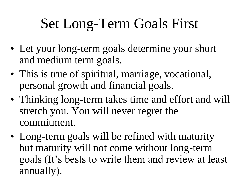# Set Long-Term Goals First

- Let your long-term goals determine your short and medium term goals.
- This is true of spiritual, marriage, vocational, personal growth and financial goals.
- Thinking long-term takes time and effort and will stretch you. You will never regret the commitment.
- Long-term goals will be refined with maturity but maturity will not come without long-term goals (It's bests to write them and review at least annually).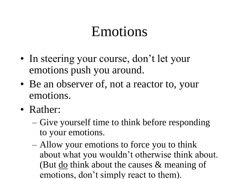## Emotions

- In steering your course, don't let your emotions push you around.
- Be an observer of, not a reactor to, your emotions.
- Rather:
	- Give yourself time to think before responding to your emotions.
	- Allow your emotions to force you to think about what you wouldn't otherwise think about. (But  $\frac{d}{d}$  think about the causes  $\&$  meaning of emotions, don't simply react to them).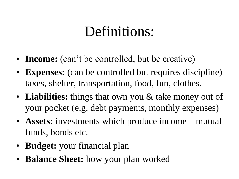## Definitions:

- **Income:** (can't be controlled, but be creative)
- **Expenses:** (can be controlled but requires discipline) taxes, shelter, transportation, food, fun, clothes.
- Liabilities: things that own you & take money out of your pocket (e.g. debt payments, monthly expenses)
- **Assets:** investments which produce income mutual funds, bonds etc.
- **Budget:** your financial plan
- **Balance Sheet:** how your plan worked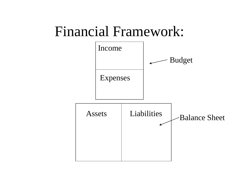#### Financial Framework:

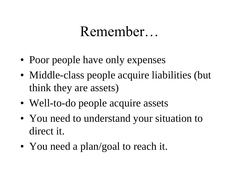#### Remember…

- Poor people have only expenses
- Middle-class people acquire liabilities (but think they are assets)
- Well-to-do people acquire assets
- You need to understand your situation to direct it.
- You need a plan/goal to reach it.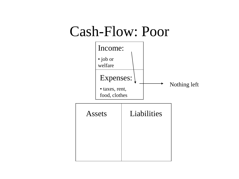#### Cash-Flow: Poor

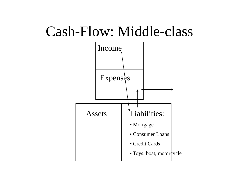## Cash-Flow: Middle-class

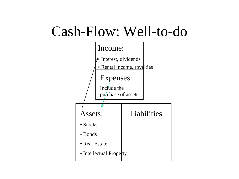## Cash-Flow: Well-to-do

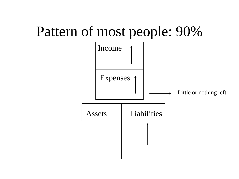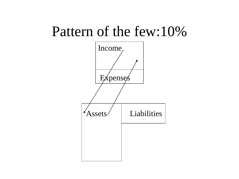#### Pattern of the few:10%

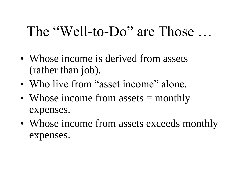## The "Well-to-Do" are Those ...

- Whose income is derived from assets (rather than job).
- Who live from "asset income" alone.
- Whose income from assets = monthly expenses.
- Whose income from assets exceeds monthly expenses.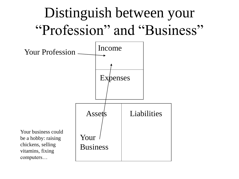# Distinguish between your "Profession" and "Business"

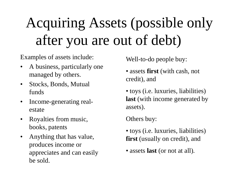# Acquiring Assets (possible only after you are out of debt)

Examples of assets include:

- A business, particularly one managed by others.
- Stocks, Bonds, Mutual funds
- Income-generating realestate
- Royalties from music, books, patents
- Anything that has value, produces income or appreciates and can easily be sold.

Well-to-do people buy:

- assets **first** (with cash, not credit), and
- toys (i.e. luxuries, liabilities) **last** (with income generated by assets).

Others buy:

- toys (i.e. luxuries, liabilities) **first** (usually on credit), and
- assets **last** (or not at all).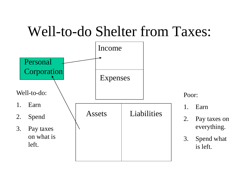## Well-to-do Shelter from Taxes:

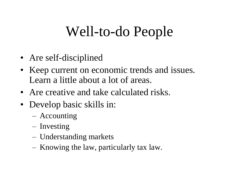## Well-to-do People

- Are self-disciplined
- Keep current on economic trends and issues. Learn a little about a lot of areas.
- Are creative and take calculated risks.
- Develop basic skills in:
	- Accounting
	- Investing
	- Understanding markets
	- Knowing the law, particularly tax law.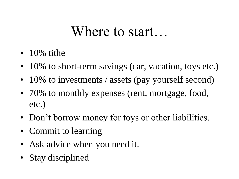#### Where to start…

- $\cdot$  10% tithe
- 10% to short-term savings (car, vacation, toys etc.)
- 10% to investments / assets (pay yourself second)
- 70% to monthly expenses (rent, mortgage, food, etc.)
- Don't borrow money for toys or other liabilities.
- Commit to learning
- Ask advice when you need it.
- Stay disciplined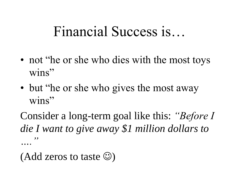## Financial Success is…

- not "he or she who dies with the most toys" wins"
- but "he or she who gives the most away wins"

Consider a long-term goal like this: *"Before I die I want to give away \$1 million dollars to …."*

(Add zeros to taste  $\circledcirc$ )